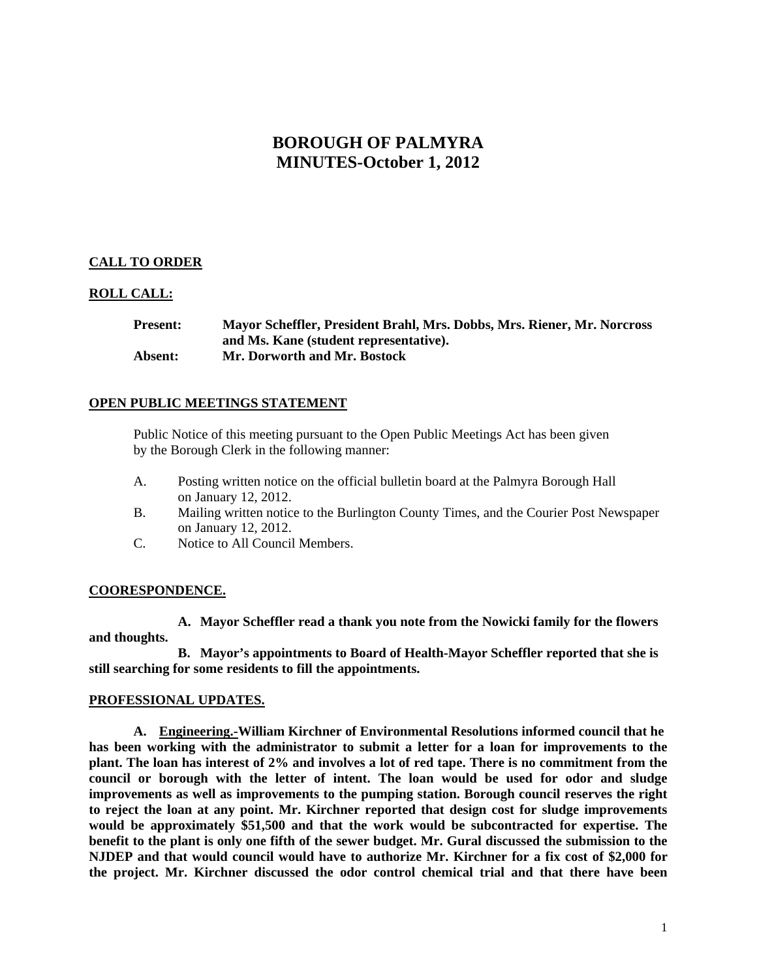# **BOROUGH OF PALMYRA MINUTES-October 1, 2012**

## **CALL TO ORDER**

## **ROLL CALL:**

**Present: Mayor Scheffler, President Brahl, Mrs. Dobbs, Mrs. Riener, Mr. Norcross and Ms. Kane (student representative). Absent: Mr. Dorworth and Mr. Bostock** 

### **OPEN PUBLIC MEETINGS STATEMENT**

 Public Notice of this meeting pursuant to the Open Public Meetings Act has been given by the Borough Clerk in the following manner:

- A. Posting written notice on the official bulletin board at the Palmyra Borough Hall on January 12, 2012.
- B. Mailing written notice to the Burlington County Times, and the Courier Post Newspaper on January 12, 2012.
- C. Notice to All Council Members.

## **COORESPONDENCE.**

**A. Mayor Scheffler read a thank you note from the Nowicki family for the flowers and thoughts.** 

**B. Mayor's appointments to Board of Health-Mayor Scheffler reported that she is still searching for some residents to fill the appointments.** 

### **PROFESSIONAL UPDATES.**

**A. Engineering.-William Kirchner of Environmental Resolutions informed council that he has been working with the administrator to submit a letter for a loan for improvements to the plant. The loan has interest of 2% and involves a lot of red tape. There is no commitment from the council or borough with the letter of intent. The loan would be used for odor and sludge improvements as well as improvements to the pumping station. Borough council reserves the right to reject the loan at any point. Mr. Kirchner reported that design cost for sludge improvements would be approximately \$51,500 and that the work would be subcontracted for expertise. The benefit to the plant is only one fifth of the sewer budget. Mr. Gural discussed the submission to the NJDEP and that would council would have to authorize Mr. Kirchner for a fix cost of \$2,000 for the project. Mr. Kirchner discussed the odor control chemical trial and that there have been**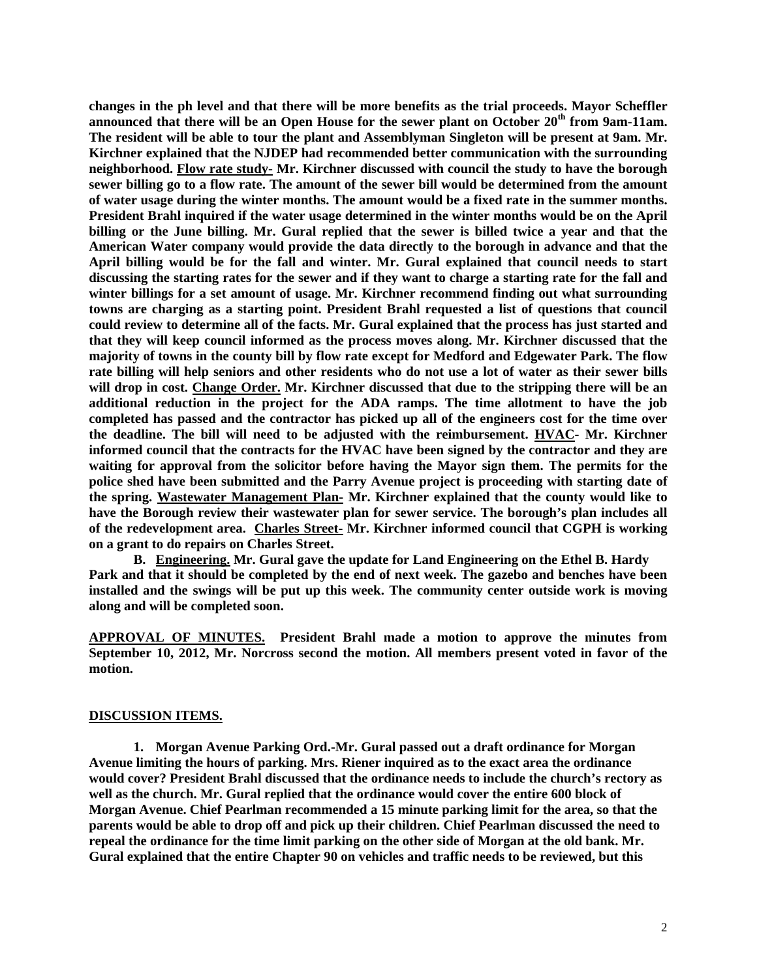**changes in the ph level and that there will be more benefits as the trial proceeds. Mayor Scheffler announced that there will be an Open House for the sewer plant on October 20th from 9am-11am. The resident will be able to tour the plant and Assemblyman Singleton will be present at 9am. Mr. Kirchner explained that the NJDEP had recommended better communication with the surrounding neighborhood. Flow rate study- Mr. Kirchner discussed with council the study to have the borough sewer billing go to a flow rate. The amount of the sewer bill would be determined from the amount of water usage during the winter months. The amount would be a fixed rate in the summer months. President Brahl inquired if the water usage determined in the winter months would be on the April billing or the June billing. Mr. Gural replied that the sewer is billed twice a year and that the American Water company would provide the data directly to the borough in advance and that the April billing would be for the fall and winter. Mr. Gural explained that council needs to start discussing the starting rates for the sewer and if they want to charge a starting rate for the fall and winter billings for a set amount of usage. Mr. Kirchner recommend finding out what surrounding towns are charging as a starting point. President Brahl requested a list of questions that council could review to determine all of the facts. Mr. Gural explained that the process has just started and that they will keep council informed as the process moves along. Mr. Kirchner discussed that the majority of towns in the county bill by flow rate except for Medford and Edgewater Park. The flow rate billing will help seniors and other residents who do not use a lot of water as their sewer bills will drop in cost. Change Order. Mr. Kirchner discussed that due to the stripping there will be an additional reduction in the project for the ADA ramps. The time allotment to have the job completed has passed and the contractor has picked up all of the engineers cost for the time over the deadline. The bill will need to be adjusted with the reimbursement. HVAC- Mr. Kirchner informed council that the contracts for the HVAC have been signed by the contractor and they are waiting for approval from the solicitor before having the Mayor sign them. The permits for the police shed have been submitted and the Parry Avenue project is proceeding with starting date of the spring. Wastewater Management Plan- Mr. Kirchner explained that the county would like to have the Borough review their wastewater plan for sewer service. The borough's plan includes all of the redevelopment area. Charles Street- Mr. Kirchner informed council that CGPH is working on a grant to do repairs on Charles Street.** 

**B. Engineering. Mr. Gural gave the update for Land Engineering on the Ethel B. Hardy Park and that it should be completed by the end of next week. The gazebo and benches have been installed and the swings will be put up this week. The community center outside work is moving along and will be completed soon.** 

**APPROVAL OF MINUTES. President Brahl made a motion to approve the minutes from September 10, 2012, Mr. Norcross second the motion. All members present voted in favor of the motion.** 

#### **DISCUSSION ITEMS.**

**1. Morgan Avenue Parking Ord.-Mr. Gural passed out a draft ordinance for Morgan Avenue limiting the hours of parking. Mrs. Riener inquired as to the exact area the ordinance would cover? President Brahl discussed that the ordinance needs to include the church's rectory as well as the church. Mr. Gural replied that the ordinance would cover the entire 600 block of Morgan Avenue. Chief Pearlman recommended a 15 minute parking limit for the area, so that the parents would be able to drop off and pick up their children. Chief Pearlman discussed the need to repeal the ordinance for the time limit parking on the other side of Morgan at the old bank. Mr. Gural explained that the entire Chapter 90 on vehicles and traffic needs to be reviewed, but this**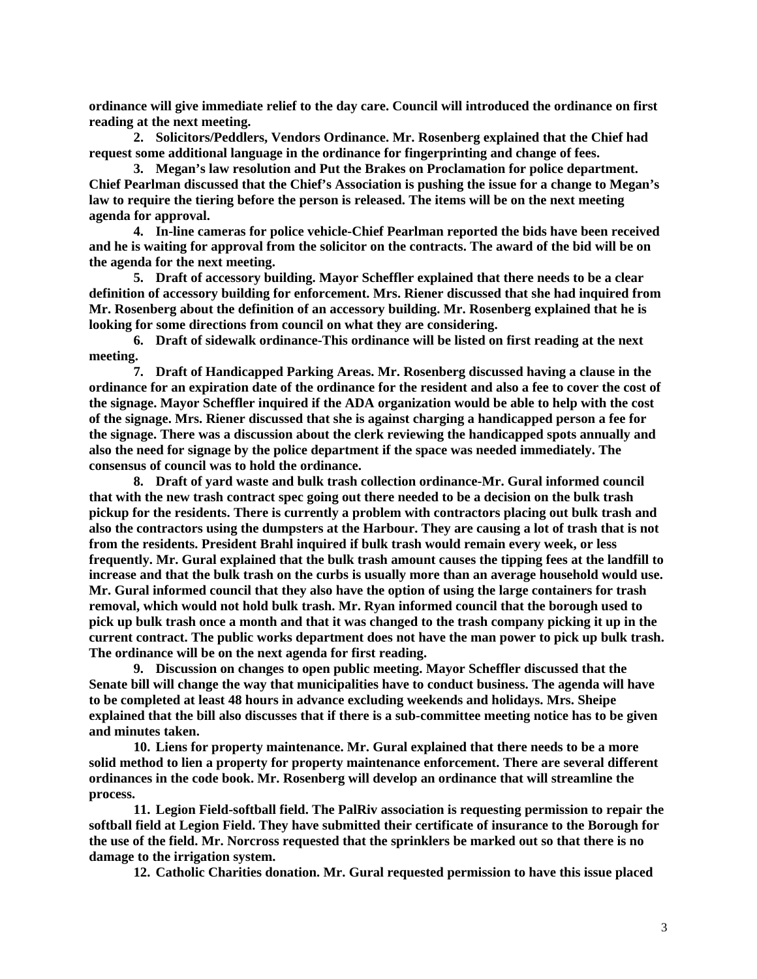**ordinance will give immediate relief to the day care. Council will introduced the ordinance on first reading at the next meeting.** 

**2. Solicitors/Peddlers, Vendors Ordinance. Mr. Rosenberg explained that the Chief had request some additional language in the ordinance for fingerprinting and change of fees.** 

**3. Megan's law resolution and Put the Brakes on Proclamation for police department. Chief Pearlman discussed that the Chief's Association is pushing the issue for a change to Megan's law to require the tiering before the person is released. The items will be on the next meeting agenda for approval.** 

**4. In-line cameras for police vehicle-Chief Pearlman reported the bids have been received and he is waiting for approval from the solicitor on the contracts. The award of the bid will be on the agenda for the next meeting.** 

**5. Draft of accessory building. Mayor Scheffler explained that there needs to be a clear definition of accessory building for enforcement. Mrs. Riener discussed that she had inquired from Mr. Rosenberg about the definition of an accessory building. Mr. Rosenberg explained that he is looking for some directions from council on what they are considering.** 

**6. Draft of sidewalk ordinance-This ordinance will be listed on first reading at the next meeting.** 

**7. Draft of Handicapped Parking Areas. Mr. Rosenberg discussed having a clause in the ordinance for an expiration date of the ordinance for the resident and also a fee to cover the cost of the signage. Mayor Scheffler inquired if the ADA organization would be able to help with the cost of the signage. Mrs. Riener discussed that she is against charging a handicapped person a fee for the signage. There was a discussion about the clerk reviewing the handicapped spots annually and also the need for signage by the police department if the space was needed immediately. The consensus of council was to hold the ordinance.** 

**8. Draft of yard waste and bulk trash collection ordinance-Mr. Gural informed council that with the new trash contract spec going out there needed to be a decision on the bulk trash pickup for the residents. There is currently a problem with contractors placing out bulk trash and also the contractors using the dumpsters at the Harbour. They are causing a lot of trash that is not from the residents. President Brahl inquired if bulk trash would remain every week, or less frequently. Mr. Gural explained that the bulk trash amount causes the tipping fees at the landfill to increase and that the bulk trash on the curbs is usually more than an average household would use. Mr. Gural informed council that they also have the option of using the large containers for trash removal, which would not hold bulk trash. Mr. Ryan informed council that the borough used to pick up bulk trash once a month and that it was changed to the trash company picking it up in the current contract. The public works department does not have the man power to pick up bulk trash. The ordinance will be on the next agenda for first reading.** 

**9. Discussion on changes to open public meeting. Mayor Scheffler discussed that the Senate bill will change the way that municipalities have to conduct business. The agenda will have to be completed at least 48 hours in advance excluding weekends and holidays. Mrs. Sheipe explained that the bill also discusses that if there is a sub-committee meeting notice has to be given and minutes taken.** 

**10. Liens for property maintenance. Mr. Gural explained that there needs to be a more solid method to lien a property for property maintenance enforcement. There are several different ordinances in the code book. Mr. Rosenberg will develop an ordinance that will streamline the process.** 

**11. Legion Field-softball field. The PalRiv association is requesting permission to repair the softball field at Legion Field. They have submitted their certificate of insurance to the Borough for the use of the field. Mr. Norcross requested that the sprinklers be marked out so that there is no damage to the irrigation system.** 

**12. Catholic Charities donation. Mr. Gural requested permission to have this issue placed**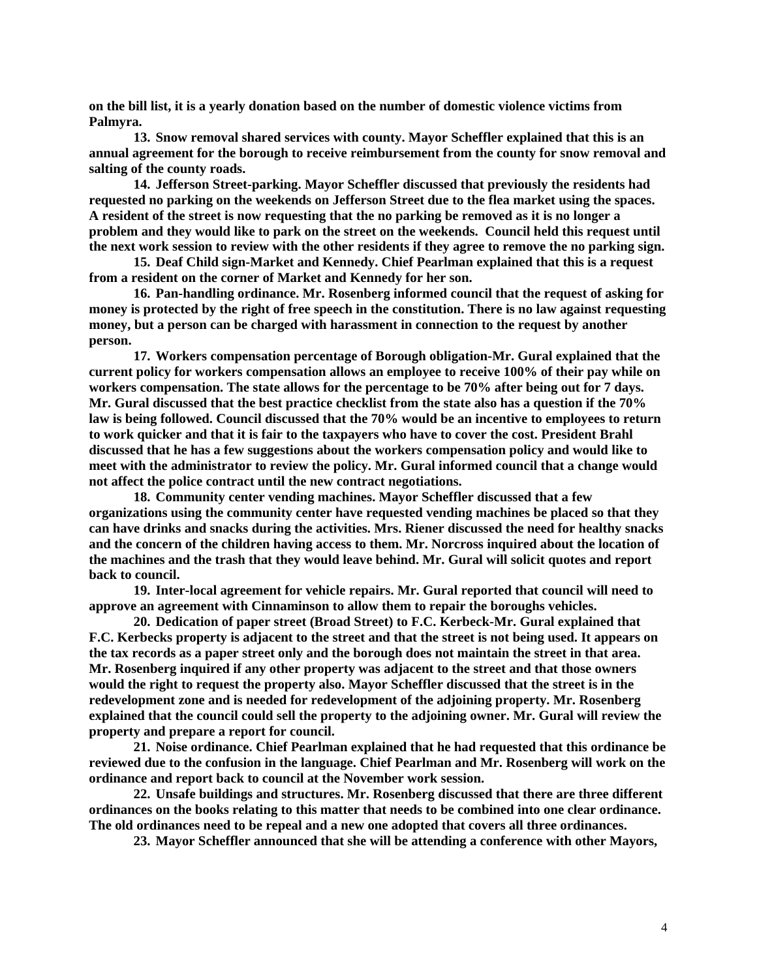**on the bill list, it is a yearly donation based on the number of domestic violence victims from Palmyra.** 

**13. Snow removal shared services with county. Mayor Scheffler explained that this is an annual agreement for the borough to receive reimbursement from the county for snow removal and salting of the county roads.** 

**14. Jefferson Street-parking. Mayor Scheffler discussed that previously the residents had requested no parking on the weekends on Jefferson Street due to the flea market using the spaces. A resident of the street is now requesting that the no parking be removed as it is no longer a problem and they would like to park on the street on the weekends. Council held this request until the next work session to review with the other residents if they agree to remove the no parking sign.** 

**15. Deaf Child sign-Market and Kennedy. Chief Pearlman explained that this is a request from a resident on the corner of Market and Kennedy for her son.** 

**16. Pan-handling ordinance. Mr. Rosenberg informed council that the request of asking for money is protected by the right of free speech in the constitution. There is no law against requesting money, but a person can be charged with harassment in connection to the request by another person.** 

**17. Workers compensation percentage of Borough obligation-Mr. Gural explained that the current policy for workers compensation allows an employee to receive 100% of their pay while on workers compensation. The state allows for the percentage to be 70% after being out for 7 days. Mr. Gural discussed that the best practice checklist from the state also has a question if the 70% law is being followed. Council discussed that the 70% would be an incentive to employees to return to work quicker and that it is fair to the taxpayers who have to cover the cost. President Brahl discussed that he has a few suggestions about the workers compensation policy and would like to meet with the administrator to review the policy. Mr. Gural informed council that a change would not affect the police contract until the new contract negotiations.** 

**18. Community center vending machines. Mayor Scheffler discussed that a few organizations using the community center have requested vending machines be placed so that they can have drinks and snacks during the activities. Mrs. Riener discussed the need for healthy snacks and the concern of the children having access to them. Mr. Norcross inquired about the location of the machines and the trash that they would leave behind. Mr. Gural will solicit quotes and report back to council.** 

**19. Inter-local agreement for vehicle repairs. Mr. Gural reported that council will need to approve an agreement with Cinnaminson to allow them to repair the boroughs vehicles.** 

**20. Dedication of paper street (Broad Street) to F.C. Kerbeck-Mr. Gural explained that F.C. Kerbecks property is adjacent to the street and that the street is not being used. It appears on the tax records as a paper street only and the borough does not maintain the street in that area. Mr. Rosenberg inquired if any other property was adjacent to the street and that those owners would the right to request the property also. Mayor Scheffler discussed that the street is in the redevelopment zone and is needed for redevelopment of the adjoining property. Mr. Rosenberg explained that the council could sell the property to the adjoining owner. Mr. Gural will review the property and prepare a report for council.** 

**21. Noise ordinance. Chief Pearlman explained that he had requested that this ordinance be reviewed due to the confusion in the language. Chief Pearlman and Mr. Rosenberg will work on the ordinance and report back to council at the November work session.** 

**22. Unsafe buildings and structures. Mr. Rosenberg discussed that there are three different ordinances on the books relating to this matter that needs to be combined into one clear ordinance. The old ordinances need to be repeal and a new one adopted that covers all three ordinances.** 

**23. Mayor Scheffler announced that she will be attending a conference with other Mayors,**